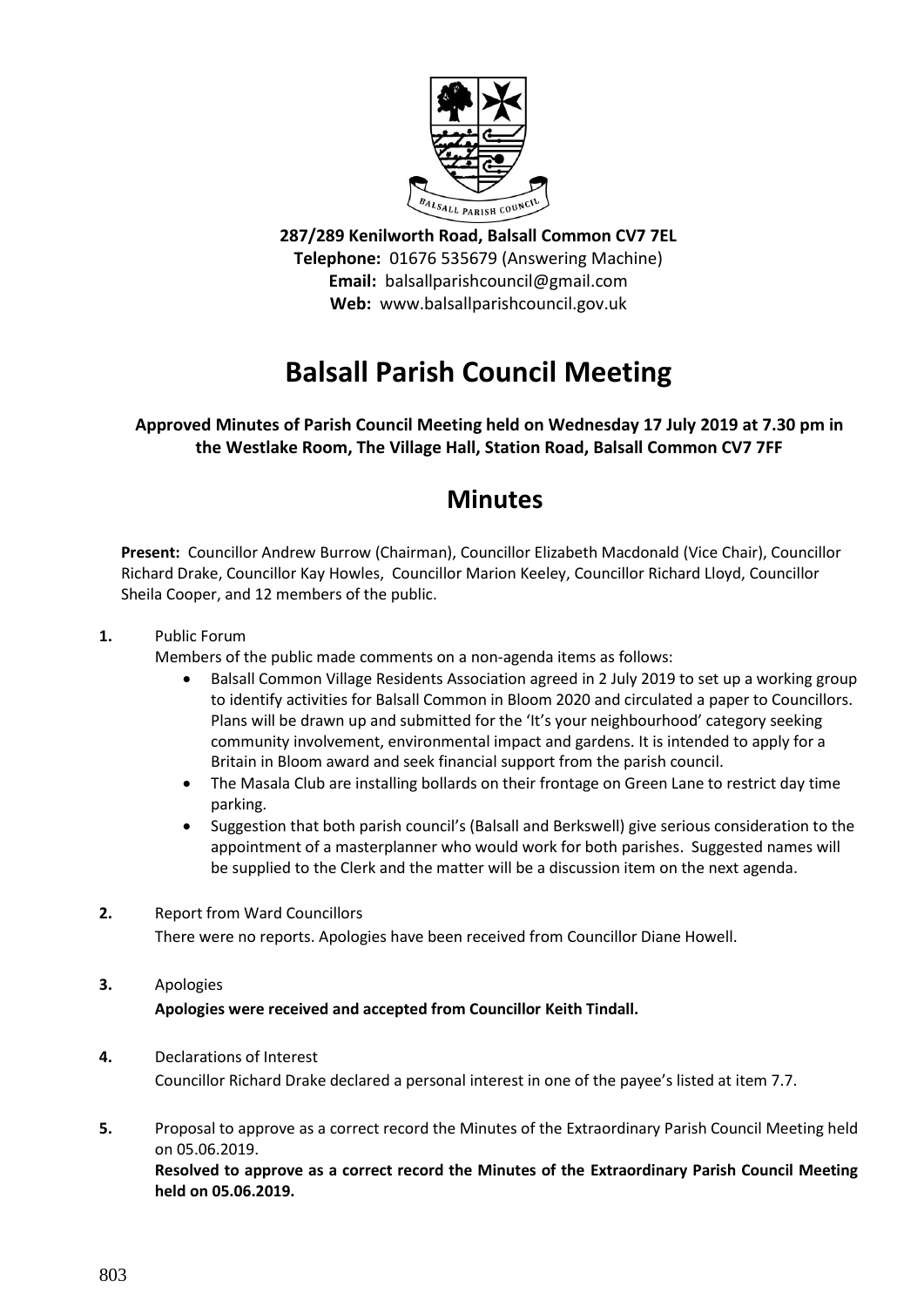

**287/289 Kenilworth Road, Balsall Common CV7 7EL Telephone:** 01676 535679 (Answering Machine) **Email:** balsallparishcouncil@gmail.com **Web:** www.balsallparishcouncil.gov.uk

# **Balsall Parish Council Meeting**

## **Approved Minutes of Parish Council Meeting held on Wednesday 17 July 2019 at 7.30 pm in the Westlake Room, The Village Hall, Station Road, Balsall Common CV7 7FF**

## **Minutes**

**Present:** Councillor Andrew Burrow (Chairman), Councillor Elizabeth Macdonald (Vice Chair), Councillor Richard Drake, Councillor Kay Howles, Councillor Marion Keeley, Councillor Richard Lloyd, Councillor Sheila Cooper, and 12 members of the public.

## **1.** Public Forum

Members of the public made comments on a non-agenda items as follows:

- Balsall Common Village Residents Association agreed in 2 July 2019 to set up a working group to identify activities for Balsall Common in Bloom 2020 and circulated a paper to Councillors. Plans will be drawn up and submitted for the 'It's your neighbourhood' category seeking community involvement, environmental impact and gardens. It is intended to apply for a Britain in Bloom award and seek financial support from the parish council.
- The Masala Club are installing bollards on their frontage on Green Lane to restrict day time parking.
- Suggestion that both parish council's (Balsall and Berkswell) give serious consideration to the appointment of a masterplanner who would work for both parishes. Suggested names will be supplied to the Clerk and the matter will be a discussion item on the next agenda.
- **2.** Report from Ward Councillors

There were no reports. Apologies have been received from Councillor Diane Howell.

**3.** Apologies

**Apologies were received and accepted from Councillor Keith Tindall.**

- **4.** Declarations of Interest Councillor Richard Drake declared a personal interest in one of the payee's listed at item 7.7.
- **5.** Proposal to approve as a correct record the Minutes of the Extraordinary Parish Council Meeting held on 05.06.2019.

**Resolved to approve as a correct record the Minutes of the Extraordinary Parish Council Meeting held on 05.06.2019.**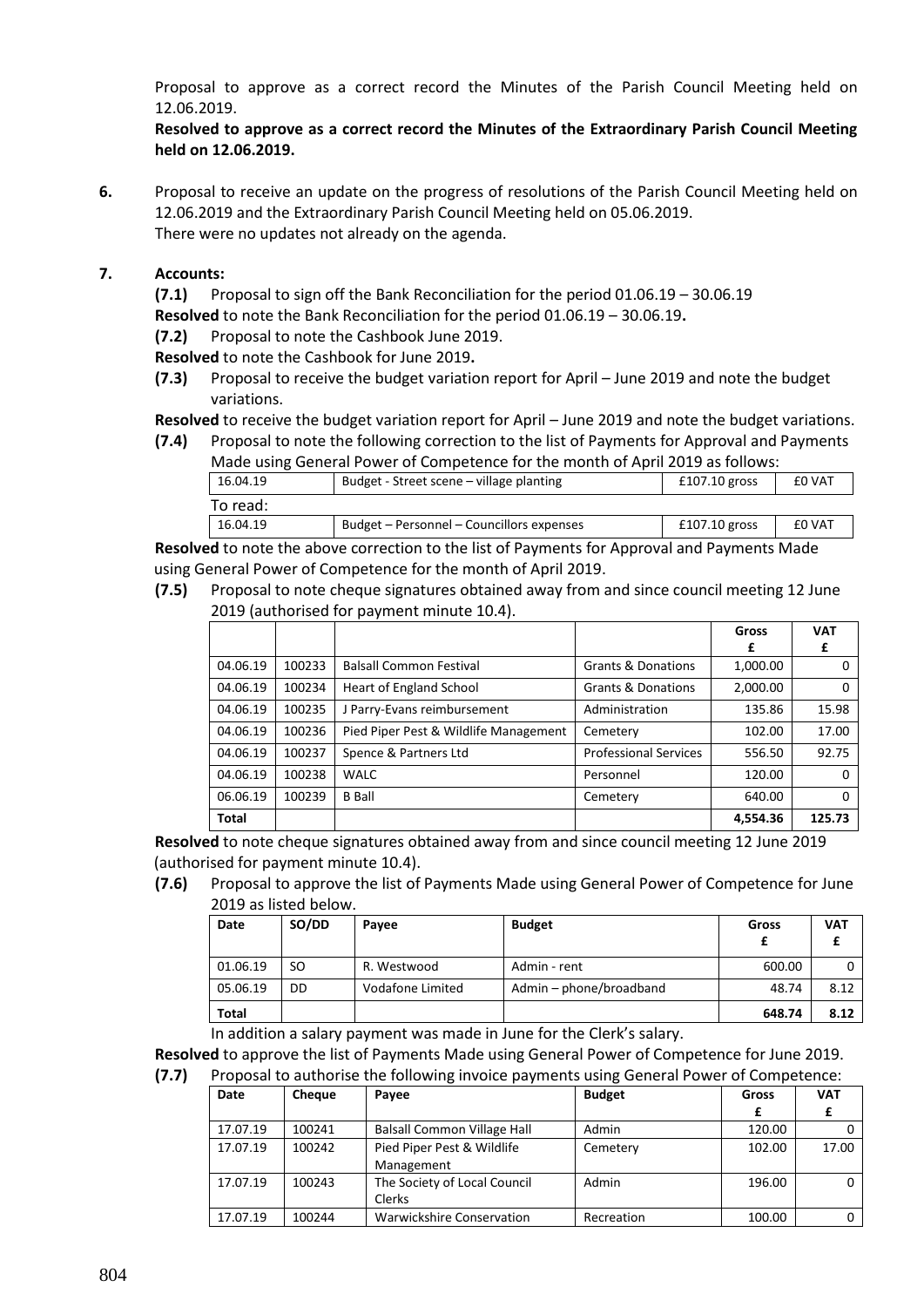Proposal to approve as a correct record the Minutes of the Parish Council Meeting held on 12.06.2019.

**Resolved to approve as a correct record the Minutes of the Extraordinary Parish Council Meeting held on 12.06.2019.**

**6.** Proposal to receive an update on the progress of resolutions of the Parish Council Meeting held on 12.06.2019 and the Extraordinary Parish Council Meeting held on 05.06.2019. There were no updates not already on the agenda.

#### **7. Accounts:**

**(7.1)** Proposal to sign off the Bank Reconciliation for the period 01.06.19 – 30.06.19

**Resolved** to note the Bank Reconciliation for the period 01.06.19 – 30.06.19**.**

**(7.2)** Proposal to note the Cashbook June 2019.

**Resolved** to note the Cashbook for June 2019**.**

**(7.3)** Proposal to receive the budget variation report for April – June 2019 and note the budget variations.

**Resolved** to receive the budget variation report for April – June 2019 and note the budget variations.

**(7.4)** Proposal to note the following correction to the list of Payments for Approval and Payments Made using General Power of Competence for the month of April 2019 as follows:

| made asing denotative were or competence for the month of high 2015 as follows. |                                           |                 |               |  |
|---------------------------------------------------------------------------------|-------------------------------------------|-----------------|---------------|--|
| 16.04.19<br>Budget - Street scene – village planting                            |                                           | $£107.10$ gross | <b>EO VAT</b> |  |
| To read:                                                                        |                                           |                 |               |  |
| 16.04.19                                                                        | Budget – Personnel – Councillors expenses | $£107.10$ gross | £0 VAT        |  |

**Resolved** to note the above correction to the list of Payments for Approval and Payments Made using General Power of Competence for the month of April 2019.

**(7.5)** Proposal to note cheque signatures obtained away from and since council meeting 12 June 2019 (authorised for payment minute 10.4).

|          |        |                                       |                               | Gross    | <b>VAT</b> |
|----------|--------|---------------------------------------|-------------------------------|----------|------------|
|          |        |                                       |                               | £        | £          |
| 04.06.19 | 100233 | <b>Balsall Common Festival</b>        | Grants & Donations            | 1,000.00 | 0          |
| 04.06.19 | 100234 | <b>Heart of England School</b>        | <b>Grants &amp; Donations</b> | 2,000.00 | $\Omega$   |
| 04.06.19 | 100235 | J Parry-Evans reimbursement           | Administration                | 135.86   | 15.98      |
| 04.06.19 | 100236 | Pied Piper Pest & Wildlife Management | Cemetery                      | 102.00   | 17.00      |
| 04.06.19 | 100237 | Spence & Partners Ltd                 | <b>Professional Services</b>  | 556.50   | 92.75      |
| 04.06.19 | 100238 | <b>WALC</b>                           | Personnel                     | 120.00   | $\Omega$   |
| 06.06.19 | 100239 | <b>B</b> Ball                         | Cemetery                      | 640.00   | $\Omega$   |
| Total    |        |                                       |                               | 4,554.36 | 125.73     |

**Resolved** to note cheque signatures obtained away from and since council meeting 12 June 2019 (authorised for payment minute 10.4).

**(7.6)** Proposal to approve the list of Payments Made using General Power of Competence for June 2019 as listed below.

| Date     | SO/DD     | Pavee            | <b>Budget</b>           | Gross  | <b>VAT</b> |
|----------|-----------|------------------|-------------------------|--------|------------|
| 01.06.19 | <b>SO</b> | R. Westwood      | Admin - rent            | 600.00 |            |
| 05.06.19 | DD        | Vodafone Limited | Admin - phone/broadband | 48.74  | 8.12       |
| Total    |           |                  |                         | 648.74 | 8.12       |

In addition a salary payment was made in June for the Clerk's salary.

**Resolved** to approve the list of Payments Made using General Power of Competence for June 2019.

**(7.7)** Proposal to authorise the following invoice payments using General Power of Competence:

| Date     | Cheque | Payee                              | <b>Budget</b> | Gross  | <b>VAT</b> |
|----------|--------|------------------------------------|---------------|--------|------------|
|          |        |                                    |               |        |            |
| 17.07.19 | 100241 | <b>Balsall Common Village Hall</b> | Admin         | 120.00 |            |
| 17.07.19 | 100242 | Pied Piper Pest & Wildlife         | Cemetery      | 102.00 | 17.00      |
|          |        | Management                         |               |        |            |
| 17.07.19 | 100243 | The Society of Local Council       | Admin         | 196.00 |            |
|          |        | Clerks                             |               |        |            |
| 17.07.19 | 100244 | Warwickshire Conservation          | Recreation    | 100.00 |            |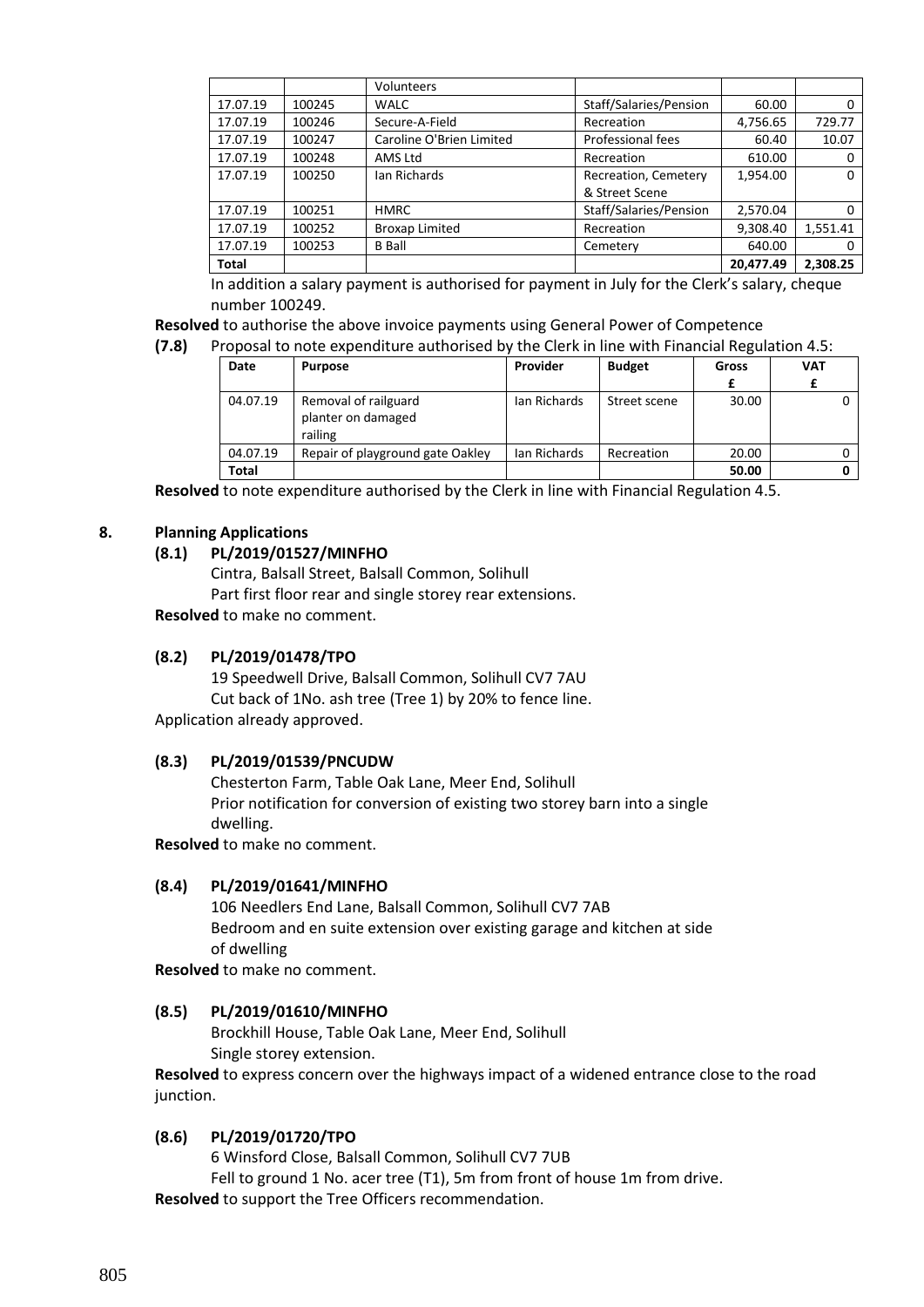|          |        | Volunteers               |                        |           |          |
|----------|--------|--------------------------|------------------------|-----------|----------|
| 17.07.19 | 100245 | <b>WALC</b>              | Staff/Salaries/Pension | 60.00     | 0        |
| 17.07.19 | 100246 | Secure-A-Field           | Recreation             | 4,756.65  | 729.77   |
| 17.07.19 | 100247 | Caroline O'Brien Limited | Professional fees      | 60.40     | 10.07    |
| 17.07.19 | 100248 | AMS Ltd                  | Recreation             | 610.00    |          |
| 17.07.19 | 100250 | Ian Richards             | Recreation, Cemetery   | 1,954.00  | 0        |
|          |        |                          | & Street Scene         |           |          |
| 17.07.19 | 100251 | <b>HMRC</b>              | Staff/Salaries/Pension | 2,570.04  | 0        |
| 17.07.19 | 100252 | <b>Broxap Limited</b>    | Recreation             | 9,308.40  | 1,551.41 |
| 17.07.19 | 100253 | <b>B</b> Ball            | Cemetery               | 640.00    | 0        |
| Total    |        |                          |                        | 20,477.49 | 2,308.25 |

In addition a salary payment is authorised for payment in July for the Clerk's salary, cheque number 100249.

**Resolved** to authorise the above invoice payments using General Power of Competence

**(7.8)** Proposal to note expenditure authorised by the Clerk in line with Financial Regulation 4.5:

| Date     | <b>Purpose</b>                                        | Provider     | <b>Budget</b> | Gross | <b>VAT</b> |
|----------|-------------------------------------------------------|--------------|---------------|-------|------------|
| 04.07.19 | Removal of railguard<br>planter on damaged<br>railing | Ian Richards | Street scene  | 30.00 |            |
| 04.07.19 | Repair of playground gate Oakley                      | lan Richards | Recreation    | 20.00 |            |
| Total    |                                                       |              |               | 50.00 |            |

**Resolved** to note expenditure authorised by the Clerk in line with Financial Regulation 4.5.

#### **8. Planning Applications**

#### **(8.1) PL/2019/01527/MINFHO**

Cintra, Balsall Street, Balsall Common, Solihull Part first floor rear and single storey rear extensions.

**Resolved** to make no comment.

#### **(8.2) PL/2019/01478/TPO**

19 Speedwell Drive, Balsall Common, Solihull CV7 7AU Cut back of 1No. ash tree (Tree 1) by 20% to fence line. Application already approved.

#### **(8.3) PL/2019/01539/PNCUDW**

Chesterton Farm, Table Oak Lane, Meer End, Solihull Prior notification for conversion of existing two storey barn into a single dwelling.

**Resolved** to make no comment.

#### **(8.4) PL/2019/01641/MINFHO**

106 Needlers End Lane, Balsall Common, Solihull CV7 7AB Bedroom and en suite extension over existing garage and kitchen at side of dwelling

**Resolved** to make no comment.

#### **(8.5) PL/2019/01610/MINFHO**

Brockhill House, Table Oak Lane, Meer End, Solihull Single storey extension.

**Resolved** to express concern over the highways impact of a widened entrance close to the road junction.

#### **(8.6) PL/2019/01720/TPO**

6 Winsford Close, Balsall Common, Solihull CV7 7UB Fell to ground 1 No. acer tree (T1), 5m from front of house 1m from drive. **Resolved** to support the Tree Officers recommendation.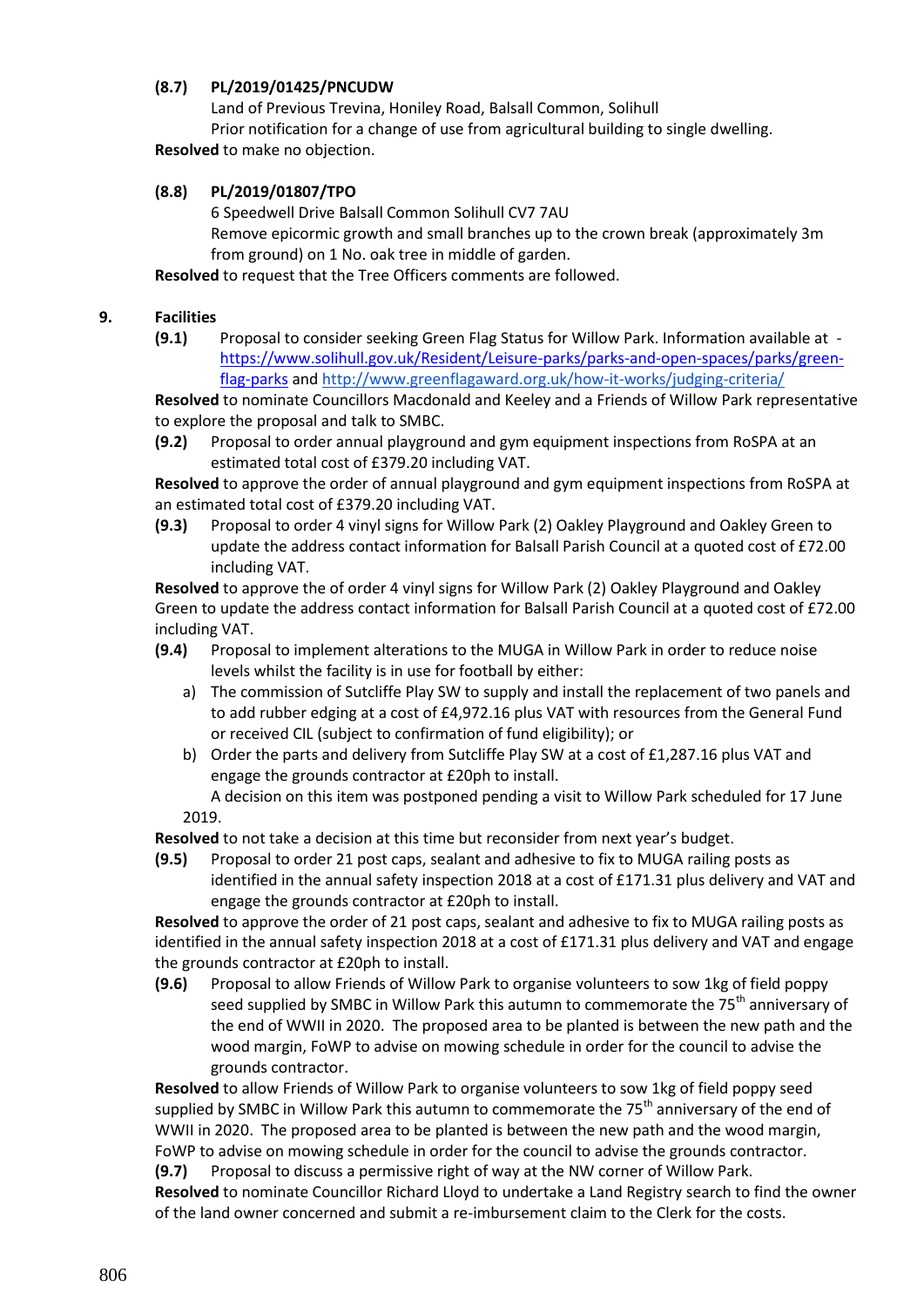## **(8.7) PL/2019/01425/PNCUDW**

Land of Previous Trevina, Honiley Road, Balsall Common, Solihull Prior notification for a change of use from agricultural building to single dwelling. **Resolved** to make no objection.

## **(8.8) PL/2019/01807/TPO**

6 Speedwell Drive Balsall Common Solihull CV7 7AU

Remove epicormic growth and small branches up to the crown break (approximately 3m from ground) on 1 No. oak tree in middle of garden.

**Resolved** to request that the Tree Officers comments are followed.

#### **9. Facilities**

**(9.1)** Proposal to consider seeking Green Flag Status for Willow Park. Information available at [https://www.solihull.gov.uk/Resident/Leisure-parks/parks-and-open-spaces/parks/green](https://www.solihull.gov.uk/Resident/Leisure-parks/parks-and-open-spaces/parks/green-%20%20%20%20%20%20%20%20%20%20%20%20%20%20flag-parks)[flag-parks](https://www.solihull.gov.uk/Resident/Leisure-parks/parks-and-open-spaces/parks/green-%20%20%20%20%20%20%20%20%20%20%20%20%20%20flag-parks) and <http://www.greenflagaward.org.uk/how-it-works/judging-criteria/>

**Resolved** to nominate Councillors Macdonald and Keeley and a Friends of Willow Park representative to explore the proposal and talk to SMBC.

**(9.2)** Proposal to order annual playground and gym equipment inspections from RoSPA at an estimated total cost of £379.20 including VAT.

**Resolved** to approve the order of annual playground and gym equipment inspections from RoSPA at an estimated total cost of £379.20 including VAT.

**(9.3)** Proposal to order 4 vinyl signs for Willow Park (2) Oakley Playground and Oakley Green to update the address contact information for Balsall Parish Council at a quoted cost of £72.00 including VAT.

**Resolved** to approve the of order 4 vinyl signs for Willow Park (2) Oakley Playground and Oakley Green to update the address contact information for Balsall Parish Council at a quoted cost of £72.00 including VAT.

- **(9.4)** Proposal to implement alterations to the MUGA in Willow Park in order to reduce noise levels whilst the facility is in use for football by either:
	- a) The commission of Sutcliffe Play SW to supply and install the replacement of two panels and to add rubber edging at a cost of £4,972.16 plus VAT with resources from the General Fund or received CIL (subject to confirmation of fund eligibility); or
	- b) Order the parts and delivery from Sutcliffe Play SW at a cost of £1,287.16 plus VAT and engage the grounds contractor at £20ph to install.

A decision on this item was postponed pending a visit to Willow Park scheduled for 17 June 2019.

**Resolved** to not take a decision at this time but reconsider from next year's budget.

**(9.5)** Proposal to order 21 post caps, sealant and adhesive to fix to MUGA railing posts as identified in the annual safety inspection 2018 at a cost of £171.31 plus delivery and VAT and engage the grounds contractor at £20ph to install.

**Resolved** to approve the order of 21 post caps, sealant and adhesive to fix to MUGA railing posts as identified in the annual safety inspection 2018 at a cost of £171.31 plus delivery and VAT and engage the grounds contractor at £20ph to install.

**(9.6)** Proposal to allow Friends of Willow Park to organise volunteers to sow 1kg of field poppy seed supplied by SMBC in Willow Park this autumn to commemorate the 75<sup>th</sup> anniversary of the end of WWII in 2020. The proposed area to be planted is between the new path and the wood margin, FoWP to advise on mowing schedule in order for the council to advise the grounds contractor.

**Resolved** to allow Friends of Willow Park to organise volunteers to sow 1kg of field poppy seed supplied by SMBC in Willow Park this autumn to commemorate the  $75<sup>th</sup>$  anniversary of the end of WWII in 2020. The proposed area to be planted is between the new path and the wood margin, FoWP to advise on mowing schedule in order for the council to advise the grounds contractor.

**(9.7)** Proposal to discuss a permissive right of way at the NW corner of Willow Park. **Resolved** to nominate Councillor Richard Lloyd to undertake a Land Registry search to find the owner of the land owner concerned and submit a re-imbursement claim to the Clerk for the costs.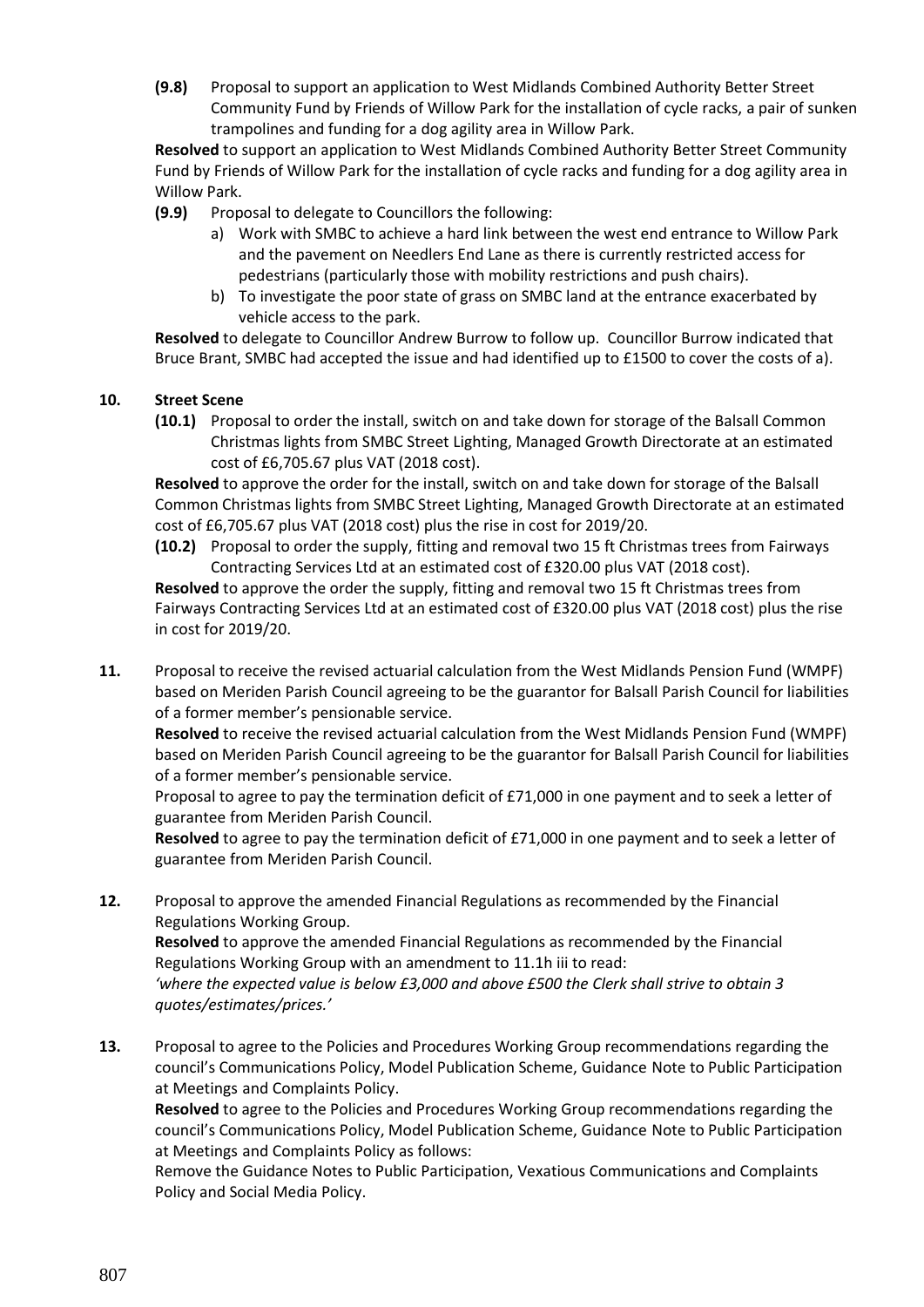**(9.8)** Proposal to support an application to West Midlands Combined Authority Better Street Community Fund by Friends of Willow Park for the installation of cycle racks, a pair of sunken trampolines and funding for a dog agility area in Willow Park.

**Resolved** to support an application to West Midlands Combined Authority Better Street Community Fund by Friends of Willow Park for the installation of cycle racks and funding for a dog agility area in Willow Park.

- **(9.9)** Proposal to delegate to Councillors the following:
	- a) Work with SMBC to achieve a hard link between the west end entrance to Willow Park and the pavement on Needlers End Lane as there is currently restricted access for pedestrians (particularly those with mobility restrictions and push chairs).
	- b) To investigate the poor state of grass on SMBC land at the entrance exacerbated by vehicle access to the park.

**Resolved** to delegate to Councillor Andrew Burrow to follow up. Councillor Burrow indicated that Bruce Brant, SMBC had accepted the issue and had identified up to £1500 to cover the costs of a).

## **10. Street Scene**

**(10.1)** Proposal to order the install, switch on and take down for storage of the Balsall Common Christmas lights from SMBC Street Lighting, Managed Growth Directorate at an estimated cost of £6,705.67 plus VAT (2018 cost).

**Resolved** to approve the order for the install, switch on and take down for storage of the Balsall Common Christmas lights from SMBC Street Lighting, Managed Growth Directorate at an estimated cost of £6,705.67 plus VAT (2018 cost) plus the rise in cost for 2019/20.

**(10.2)** Proposal to order the supply, fitting and removal two 15 ft Christmas trees from Fairways Contracting Services Ltd at an estimated cost of £320.00 plus VAT (2018 cost).

**Resolved** to approve the order the supply, fitting and removal two 15 ft Christmas trees from Fairways Contracting Services Ltd at an estimated cost of £320.00 plus VAT (2018 cost) plus the rise in cost for 2019/20.

**11.** Proposal to receive the revised actuarial calculation from the West Midlands Pension Fund (WMPF) based on Meriden Parish Council agreeing to be the guarantor for Balsall Parish Council for liabilities of a former member's pensionable service.

**Resolved** to receive the revised actuarial calculation from the West Midlands Pension Fund (WMPF) based on Meriden Parish Council agreeing to be the guarantor for Balsall Parish Council for liabilities of a former member's pensionable service.

Proposal to agree to pay the termination deficit of £71,000 in one payment and to seek a letter of guarantee from Meriden Parish Council.

**Resolved** to agree to pay the termination deficit of £71,000 in one payment and to seek a letter of guarantee from Meriden Parish Council.

- **12.** Proposal to approve the amended Financial Regulations as recommended by the Financial Regulations Working Group. **Resolved** to approve the amended Financial Regulations as recommended by the Financial Regulations Working Group with an amendment to 11.1h iii to read: *'where the expected value is below £3,000 and above £500 the Clerk shall strive to obtain 3 quotes/estimates/prices.'*
- **13.** Proposal to agree to the Policies and Procedures Working Group recommendations regarding the council's Communications Policy, Model Publication Scheme, Guidance Note to Public Participation at Meetings and Complaints Policy.

**Resolved** to agree to the Policies and Procedures Working Group recommendations regarding the council's Communications Policy, Model Publication Scheme, Guidance Note to Public Participation at Meetings and Complaints Policy as follows:

Remove the Guidance Notes to Public Participation, Vexatious Communications and Complaints Policy and Social Media Policy.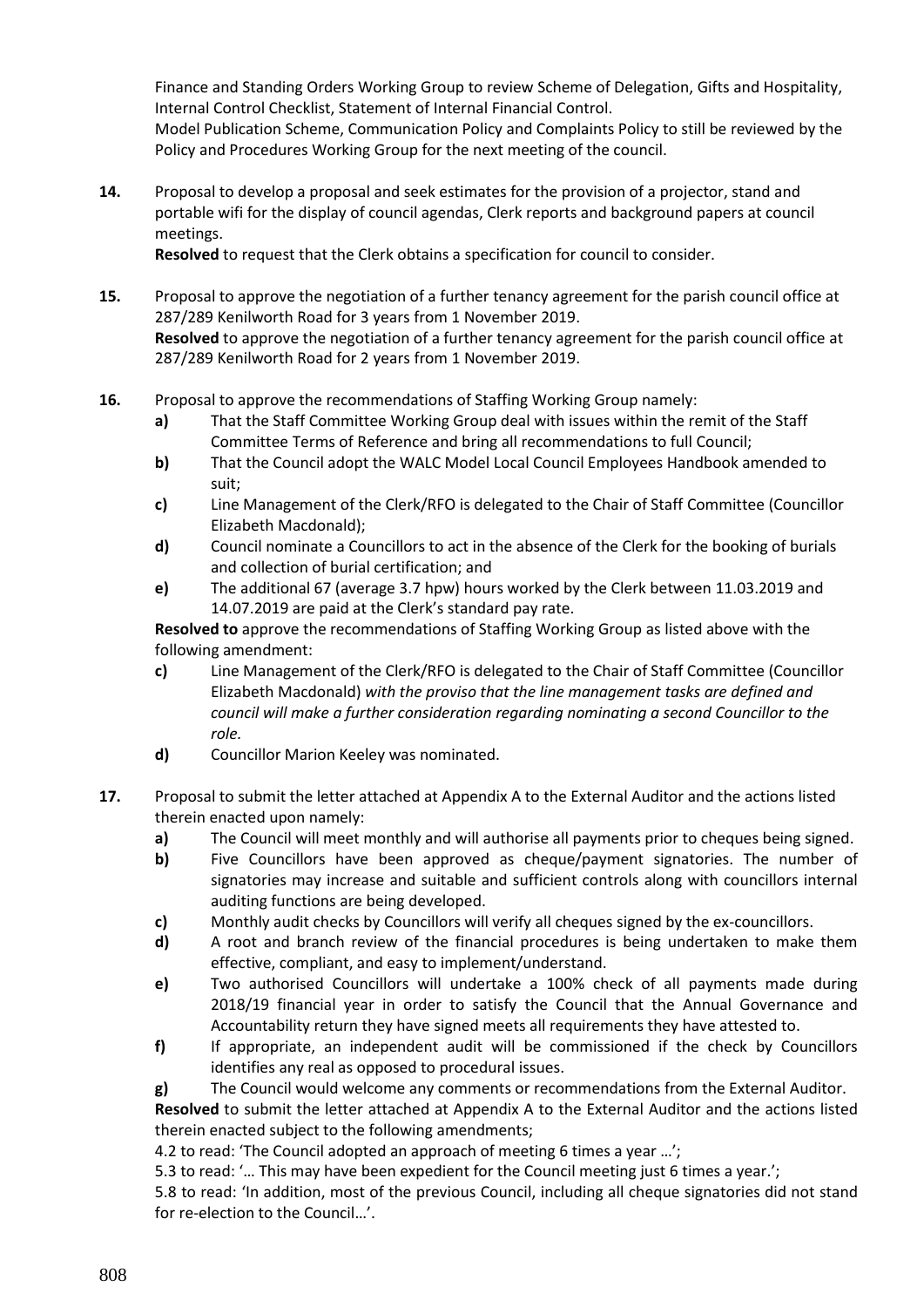Finance and Standing Orders Working Group to review Scheme of Delegation, Gifts and Hospitality, Internal Control Checklist, Statement of Internal Financial Control. Model Publication Scheme, Communication Policy and Complaints Policy to still be reviewed by the Policy and Procedures Working Group for the next meeting of the council.

**14.** Proposal to develop a proposal and seek estimates for the provision of a projector, stand and portable wifi for the display of council agendas, Clerk reports and background papers at council meetings.

**Resolved** to request that the Clerk obtains a specification for council to consider.

- **15.** Proposal to approve the negotiation of a further tenancy agreement for the parish council office at 287/289 Kenilworth Road for 3 years from 1 November 2019. **Resolved** to approve the negotiation of a further tenancy agreement for the parish council office at 287/289 Kenilworth Road for 2 years from 1 November 2019.
- **16.** Proposal to approve the recommendations of Staffing Working Group namely:
	- **a)** That the Staff Committee Working Group deal with issues within the remit of the Staff Committee Terms of Reference and bring all recommendations to full Council;
	- **b)** That the Council adopt the WALC Model Local Council Employees Handbook amended to suit;
	- **c)** Line Management of the Clerk/RFO is delegated to the Chair of Staff Committee (Councillor Elizabeth Macdonald);
	- **d)** Council nominate a Councillors to act in the absence of the Clerk for the booking of burials and collection of burial certification; and
	- **e)** The additional 67 (average 3.7 hpw) hours worked by the Clerk between 11.03.2019 and 14.07.2019 are paid at the Clerk's standard pay rate.

**Resolved to** approve the recommendations of Staffing Working Group as listed above with the following amendment:

- **c)** Line Management of the Clerk/RFO is delegated to the Chair of Staff Committee (Councillor Elizabeth Macdonald) *with the proviso that the line management tasks are defined and council will make a further consideration regarding nominating a second Councillor to the role.*
- **d)** Councillor Marion Keeley was nominated.
- **17.** Proposal to submit the letter attached at Appendix A to the External Auditor and the actions listed therein enacted upon namely:
	- **a)** The Council will meet monthly and will authorise all payments prior to cheques being signed.
	- **b)** Five Councillors have been approved as cheque/payment signatories. The number of signatories may increase and suitable and sufficient controls along with councillors internal auditing functions are being developed.
	- **c)** Monthly audit checks by Councillors will verify all cheques signed by the ex-councillors.
	- **d)** A root and branch review of the financial procedures is being undertaken to make them effective, compliant, and easy to implement/understand.
	- **e)** Two authorised Councillors will undertake a 100% check of all payments made during 2018/19 financial year in order to satisfy the Council that the Annual Governance and Accountability return they have signed meets all requirements they have attested to.
	- **f)** If appropriate, an independent audit will be commissioned if the check by Councillors identifies any real as opposed to procedural issues.

**g)** The Council would welcome any comments or recommendations from the External Auditor.

**Resolved** to submit the letter attached at Appendix A to the External Auditor and the actions listed therein enacted subject to the following amendments;

4.2 to read: 'The Council adopted an approach of meeting 6 times a year …';

5.3 to read: '… This may have been expedient for the Council meeting just 6 times a year.';

5.8 to read: 'In addition, most of the previous Council, including all cheque signatories did not stand for re-election to the Council…'.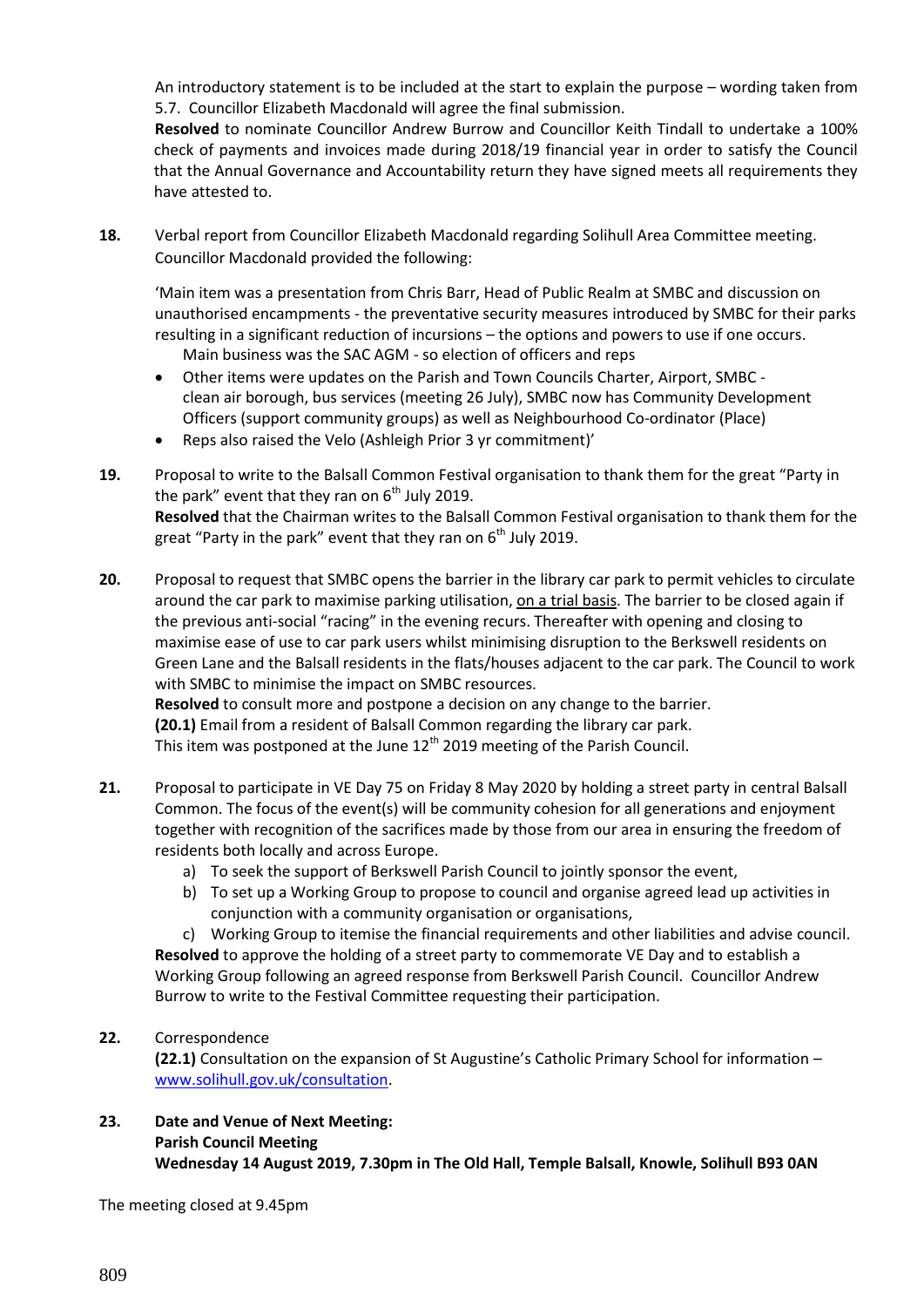An introductory statement is to be included at the start to explain the purpose – wording taken from 5.7. Councillor Elizabeth Macdonald will agree the final submission.

**Resolved** to nominate Councillor Andrew Burrow and Councillor Keith Tindall to undertake a 100% check of payments and invoices made during 2018/19 financial year in order to satisfy the Council that the Annual Governance and Accountability return they have signed meets all requirements they have attested to.

**18.** Verbal report from Councillor Elizabeth Macdonald regarding Solihull Area Committee meeting. Councillor Macdonald provided the following:

'Main item was a presentation from Chris Barr, Head of Public Realm at SMBC and discussion on unauthorised encampments - the preventative security measures introduced by SMBC for their parks resulting in a significant reduction of incursions – the options and powers to use if one occurs.

Main business was the SAC AGM - so election of officers and reps

- Other items were updates on the Parish and Town Councils Charter, Airport, SMBC clean air borough, bus services (meeting 26 July), SMBC now has Community Development Officers (support community groups) as well as Neighbourhood Co-ordinator (Place)
- Reps also raised the Velo (Ashleigh Prior 3 yr commitment)'
- **19.** Proposal to write to the Balsall Common Festival organisation to thank them for the great "Party in the park" event that they ran on  $6<sup>th</sup>$  July 2019. **Resolved** that the Chairman writes to the Balsall Common Festival organisation to thank them for the great "Party in the park" event that they ran on  $6<sup>th</sup>$  July 2019.
- **20.** Proposal to request that SMBC opens the barrier in the library car park to permit vehicles to circulate around the car park to maximise parking utilisation, on a trial basis. The barrier to be closed again if the previous anti-social "racing" in the evening recurs. Thereafter with opening and closing to maximise ease of use to car park users whilst minimising disruption to the Berkswell residents on Green Lane and the Balsall residents in the flats/houses adjacent to the car park. The Council to work with SMBC to minimise the impact on SMBC resources.

**Resolved** to consult more and postpone a decision on any change to the barrier. **(20.1)** Email from a resident of Balsall Common regarding the library car park. This item was postponed at the June  $12<sup>th</sup>$  2019 meeting of the Parish Council.

- **21.** Proposal to participate in VE Day 75 on Friday 8 May 2020 by holding a street party in central Balsall Common. The focus of the event(s) will be community cohesion for all generations and enjoyment together with recognition of the sacrifices made by those from our area in ensuring the freedom of residents both locally and across Europe.
	- a) To seek the support of Berkswell Parish Council to jointly sponsor the event,
	- b) To set up a Working Group to propose to council and organise agreed lead up activities in conjunction with a community organisation or organisations,

c) Working Group to itemise the financial requirements and other liabilities and advise council. **Resolved** to approve the holding of a street party to commemorate VE Day and to establish a Working Group following an agreed response from Berkswell Parish Council. Councillor Andrew Burrow to write to the Festival Committee requesting their participation.

## **22.** Correspondence

**(22.1)** Consultation on the expansion of St Augustine's Catholic Primary School for information – [www.solihull.gov.uk/consultation.](http://www.solihull.gov.uk/consultation)

**23. Date and Venue of Next Meeting: Parish Council Meeting Wednesday 14 August 2019, 7.30pm in The Old Hall, Temple Balsall, Knowle, Solihull B93 0AN**

The meeting closed at 9.45pm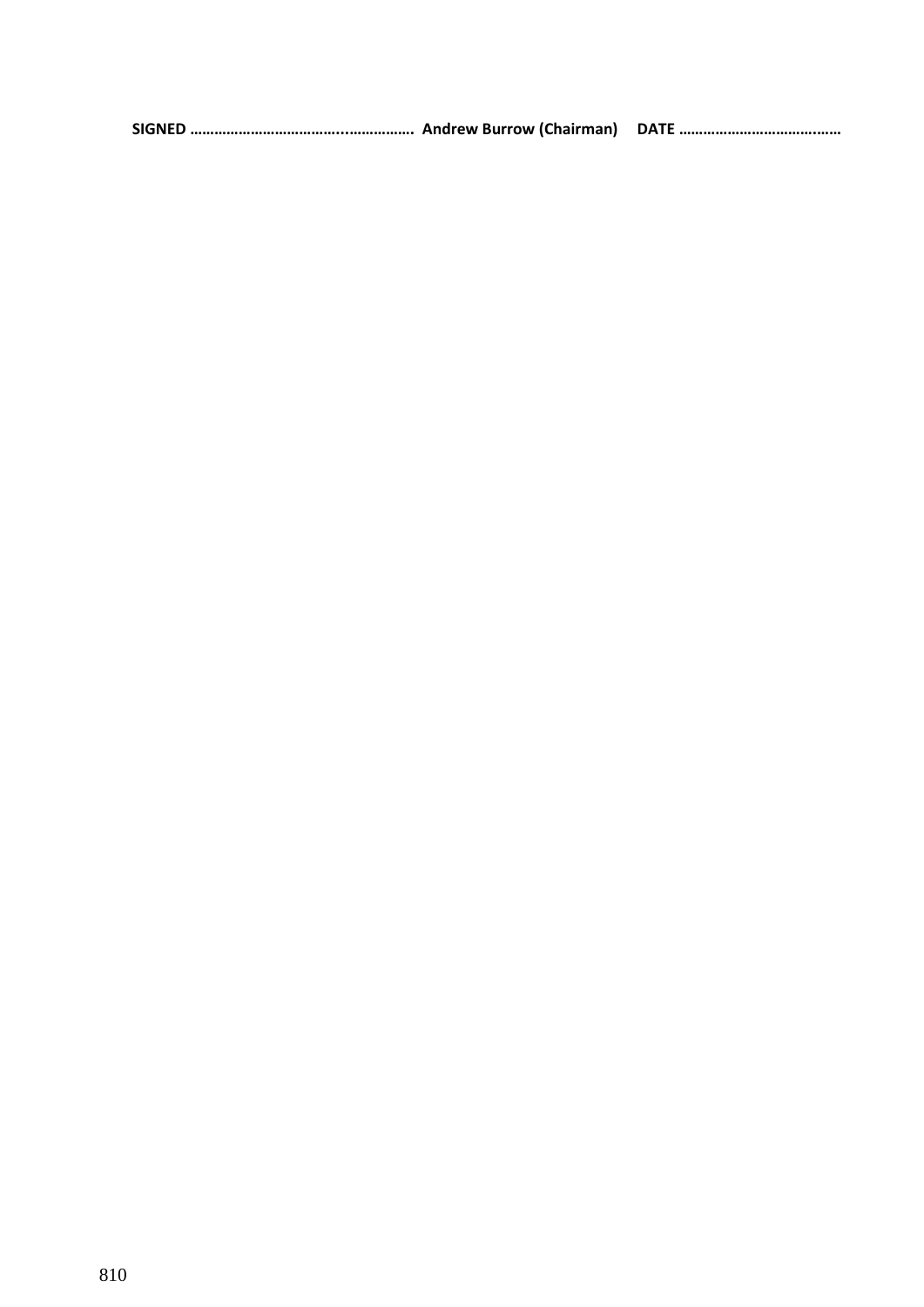|--|--|--|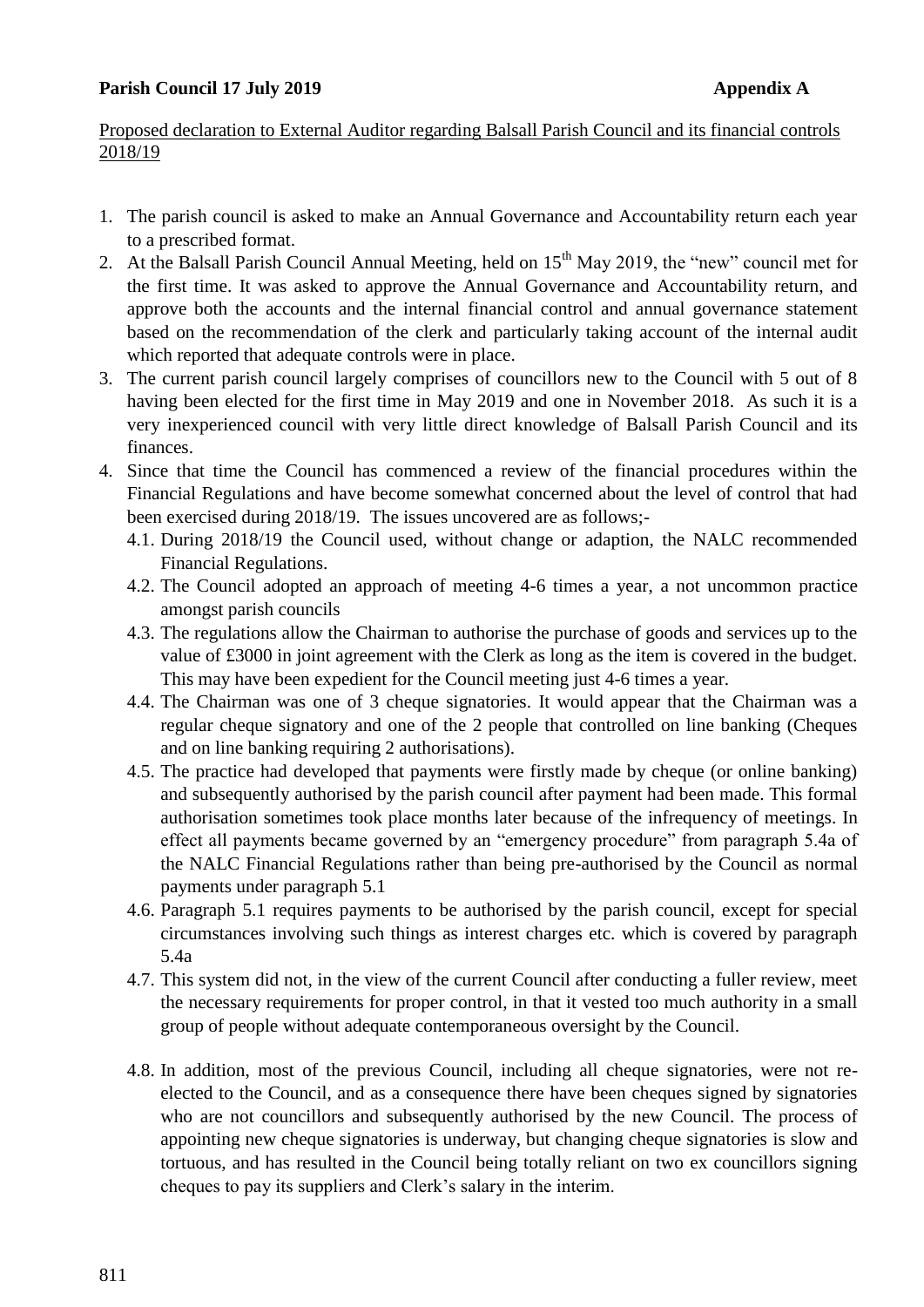## **Parish Council 17 July 2019 Appendix A**

## Proposed declaration to External Auditor regarding Balsall Parish Council and its financial controls 2018/19

- 1. The parish council is asked to make an Annual Governance and Accountability return each year to a prescribed format.
- 2. At the Balsall Parish Council Annual Meeting, held on 15<sup>th</sup> May 2019, the "new" council met for the first time. It was asked to approve the Annual Governance and Accountability return, and approve both the accounts and the internal financial control and annual governance statement based on the recommendation of the clerk and particularly taking account of the internal audit which reported that adequate controls were in place.
- 3. The current parish council largely comprises of councillors new to the Council with 5 out of 8 having been elected for the first time in May 2019 and one in November 2018. As such it is a very inexperienced council with very little direct knowledge of Balsall Parish Council and its finances.
- 4. Since that time the Council has commenced a review of the financial procedures within the Financial Regulations and have become somewhat concerned about the level of control that had been exercised during 2018/19. The issues uncovered are as follows;-
	- 4.1. During 2018/19 the Council used, without change or adaption, the NALC recommended Financial Regulations.
	- 4.2. The Council adopted an approach of meeting 4-6 times a year, a not uncommon practice amongst parish councils
	- 4.3. The regulations allow the Chairman to authorise the purchase of goods and services up to the value of £3000 in joint agreement with the Clerk as long as the item is covered in the budget. This may have been expedient for the Council meeting just 4-6 times a year.
	- 4.4. The Chairman was one of 3 cheque signatories. It would appear that the Chairman was a regular cheque signatory and one of the 2 people that controlled on line banking (Cheques and on line banking requiring 2 authorisations).
	- 4.5. The practice had developed that payments were firstly made by cheque (or online banking) and subsequently authorised by the parish council after payment had been made. This formal authorisation sometimes took place months later because of the infrequency of meetings. In effect all payments became governed by an "emergency procedure" from paragraph 5.4a of the NALC Financial Regulations rather than being pre-authorised by the Council as normal payments under paragraph 5.1
	- 4.6. Paragraph 5.1 requires payments to be authorised by the parish council, except for special circumstances involving such things as interest charges etc. which is covered by paragraph 5.4a
	- 4.7. This system did not, in the view of the current Council after conducting a fuller review, meet the necessary requirements for proper control, in that it vested too much authority in a small group of people without adequate contemporaneous oversight by the Council.
	- 4.8. In addition, most of the previous Council, including all cheque signatories, were not reelected to the Council, and as a consequence there have been cheques signed by signatories who are not councillors and subsequently authorised by the new Council. The process of appointing new cheque signatories is underway, but changing cheque signatories is slow and tortuous, and has resulted in the Council being totally reliant on two ex councillors signing cheques to pay its suppliers and Clerk's salary in the interim.